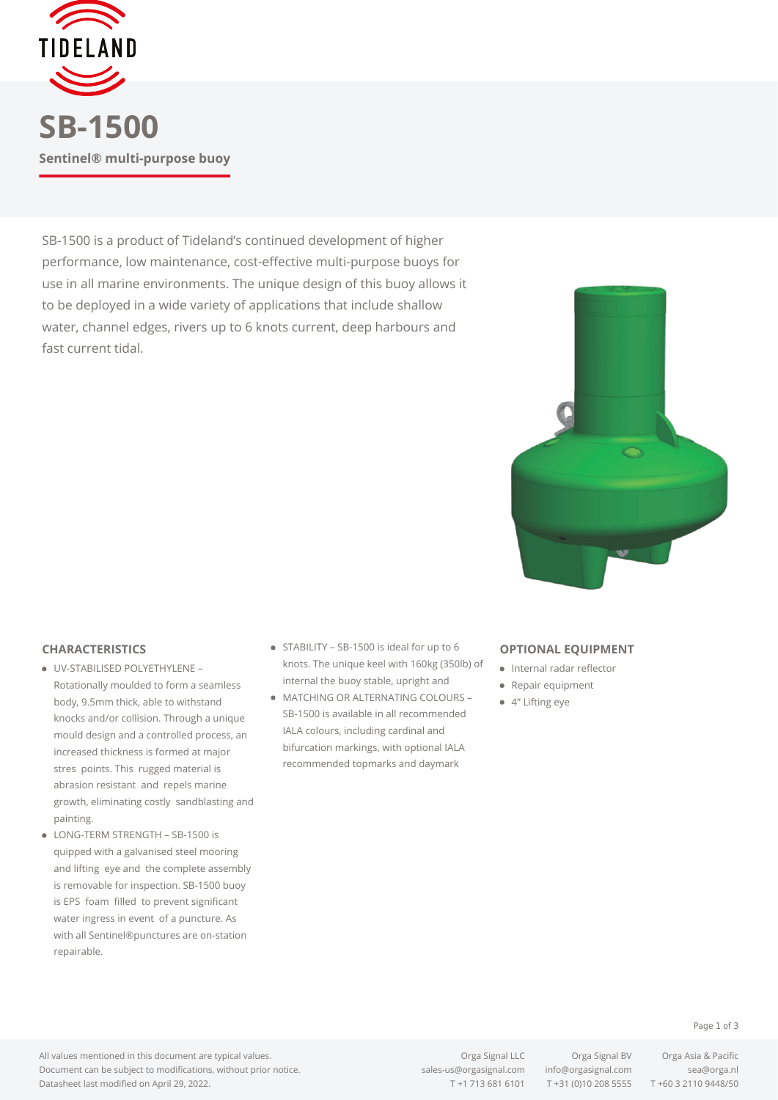

SB-1500 is a product of Tideland's continued development of higher performance, low maintenance, cost-effective multi-purpose buoys for use in all marine environments. The unique design of this buoy allows it to be deployed in a wide variety of applications that include shallow water, channel edges, rivers up to 6 knots current, deep harbours and fast current tidal.



## **CHARACTERISTICS**

- UV-STABILISED POLYETHYLENE Rotationally moulded to form a seamless body, 9.5mm thick, able to withstand knocks and/or collision. Through a unique mould design and a controlled process, an increased thickness is formed at major stres points. This rugged material is abrasion resistant and repels marine growth, eliminating costly sandblasting and painting.
- LONG-TERM STRENGTH SB-1500 is quipped with a galvanised steel mooring and lifting eye and the complete assembly is removable for inspection. SB-1500 buoy is EPS foam filled to prevent significant water ingress in event of a puncture. As with all Sentinel®punctures are on-station repairable.
- STABILITY SB-1500 is ideal for up to 6 knots. The unique keel with 160kg (350lb) of internal the buoy stable, upright and
- MATCHING OR ALTERNATING COLOURS SB-1500 is available in all recommended IALA colours, including cardinal and bifurcation markings, with optional IALA recommended topmarks and daymark

## **OPTIONAL EQUIPMENT**

- **•** Internal radar reflector
- Repair equipment
- 4" Lifting eye

## Page 1 of 3

All values mentioned in this document are typical values. Document can be subject to modifications, without prior notice. Datasheet last modified on April 29, 2022.

Orga Signal LLC Orga Signal BV Orga Asia & Pacific [sales-us@orgasignal.com](mailto:sales-us@orgasignal.com) [info@orgasignal.com](mailto:info@orgasignal.com) [sea@orga.nl](mailto:sales-us@orgasignal.com)

T +1 713 681 6101 T +31 (0)10 208 5555 T +60 3 2110 9448/50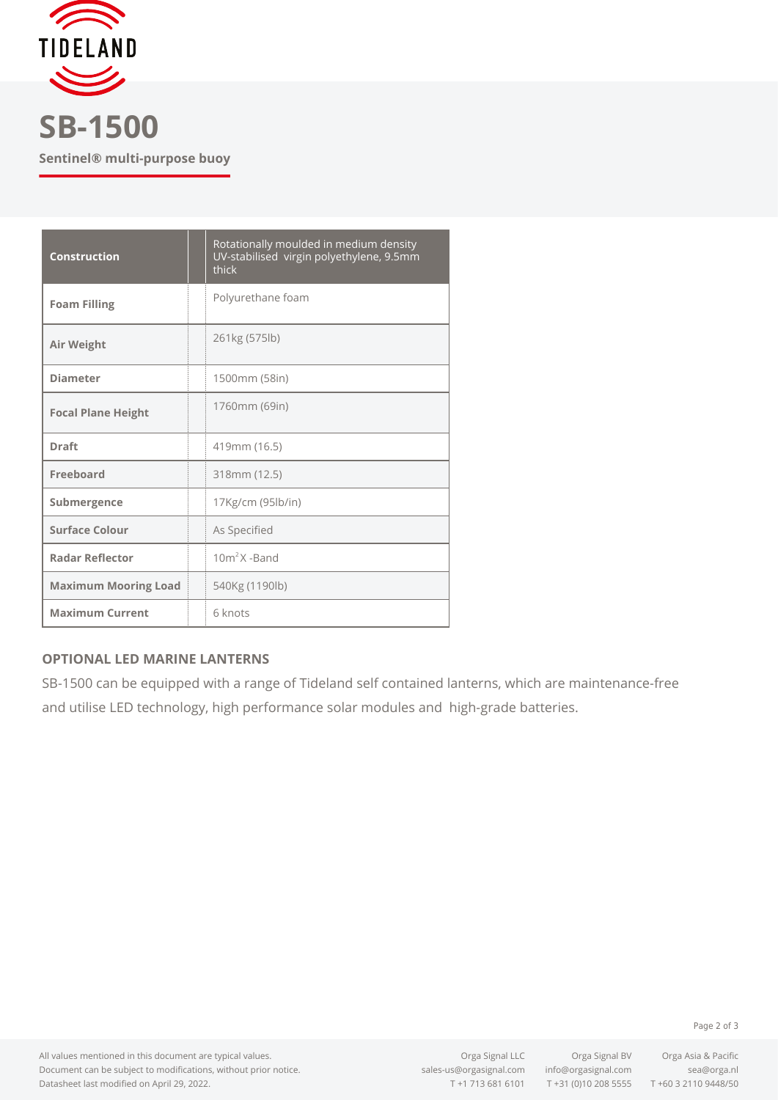

**SB-1500 Sentinel® multi-purpose buoy**

| <b>Construction</b>         | Rotationally moulded in medium density<br>UV-stabilised virgin polyethylene, 9.5mm<br>thick |
|-----------------------------|---------------------------------------------------------------------------------------------|
| <b>Foam Filling</b>         | Polyurethane foam                                                                           |
| Air Weight                  | 261kg (575lb)                                                                               |
| <b>Diameter</b>             | 1500mm (58in)                                                                               |
| <b>Focal Plane Height</b>   | 1760mm (69in)                                                                               |
| <b>Draft</b>                | 419mm (16.5)                                                                                |
| Freeboard                   | 318mm (12.5)                                                                                |
| Submergence                 | 17Kg/cm (95lb/in)                                                                           |
| <b>Surface Colour</b>       | As Specified                                                                                |
| <b>Radar Reflector</b>      | $10m2X$ -Band                                                                               |
| <b>Maximum Mooring Load</b> | 540Kg (1190lb)                                                                              |
| <b>Maximum Current</b>      | 6 knots                                                                                     |

## **OPTIONAL LED MARINE LANTERNS**

SB-1500 can be equipped with a range of Tideland self contained lanterns, which are maintenance-free and utilise LED technology, high performance solar modules and high-grade batteries.

All values mentioned in this document are typical values. Document can be subject to modifications, without prior notice. Datasheet last modified on April 29, 2022.

[sales-us@orgasignal.com](mailto:sales-us@orgasignal.com) [info@orgasignal.com](mailto:info@orgasignal.com) [sea@orga.nl](mailto:sales-us@orgasignal.com)

Orga Signal LLC Orga Signal BV Orga Asia & Pacific T +1 713 681 6101 T +31 (0)10 208 5555 T +60 3 2110 9448/50

Page 2 of 3